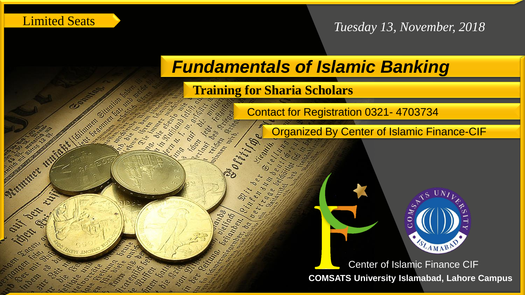Limited Seats

**ASS** 

Lastriner

Ser,

*Tuesday 13, November, 2018*

## *Fundamentals of Islamic Banking*

**Training for Sharia Scholars**

co. de

River

Vinten Parking teiron d

> luss ad

Contact for Registration 0321- 4703734

Organized By Center of Islamic Finance-CIF



**COMSATS University Islamabad, Lahore Campus** Center of Islamic Finance CIF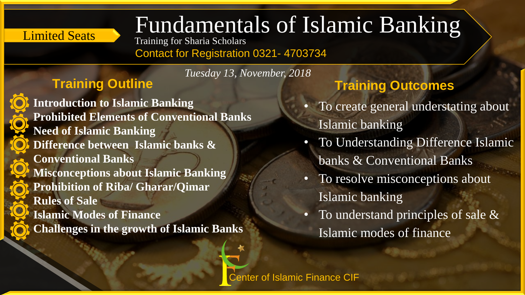# Limited Seats Fundamentals of Islamic Banking

Training for Sharia Scholars

Contact for Registration 0321- 4703734

*Tuesday 13, November, 2018*

**Introduction to Islamic Banking Prohibited Elements of Conventional Banks Need of Islamic Banking Difference between Islamic banks & Conventional Banks Misconceptions about Islamic Banking Prohibition of Riba/ Gharar/Qimar Rules of Sale Islamic Modes of Finance Challenges in the growth of Islamic Banks** 

#### **Training Outline Training Outcomes**

- To create general understating about Islamic banking
- To Understanding Difference Islamic banks & Conventional Banks
- To resolve misconceptions about Islamic banking
- To understand principles of sale & Islamic modes of finance

Center of Islamic Finance CIF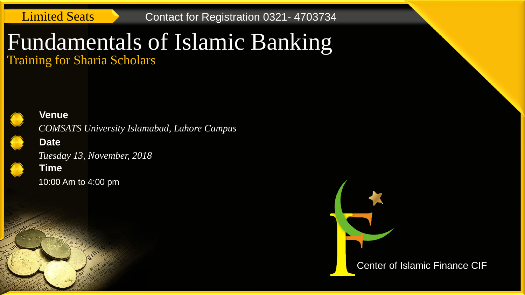Limited Seats **Contact for Registration 0321-4703734** 

### Fundamentals of Islamic Banking Training for Sharia Scholars

#### **Venue**

*COMSATS University Islamabad, Lahore Campus*

#### **Date**

**Time** *Tuesday 13, November, 2018*

10:00 Am to 4:00 pm